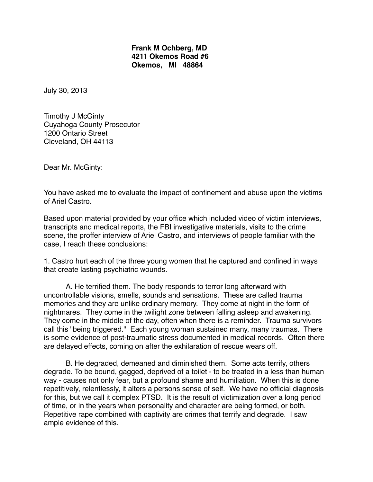## **Frank M Ochberg, MD !!!! 4211 Okemos Road #6 ! ! ! ! Okemos, MI 48864**

July 30, 2013

Timothy J McGinty Cuyahoga County Prosecutor 1200 Ontario Street Cleveland, OH 44113

Dear Mr. McGinty:

You have asked me to evaluate the impact of confinement and abuse upon the victims of Ariel Castro.

Based upon material provided by your office which included video of victim interviews, transcripts and medical reports, the FBI investigative materials, visits to the crime scene, the proffer interview of Ariel Castro, and interviews of people familiar with the case, I reach these conclusions:

1. Castro hurt each of the three young women that he captured and confined in ways that create lasting psychiatric wounds.

A. He terrified them. The body responds to terror long afterward with uncontrollable visions, smells, sounds and sensations. These are called trauma memories and they are unlike ordinary memory. They come at night in the form of nightmares. They come in the twilight zone between falling asleep and awakening. They come in the middle of the day, often when there is a reminder. Trauma survivors call this "being triggered." Each young woman sustained many, many traumas. There is some evidence of post-traumatic stress documented in medical records. Often there are delayed effects, coming on after the exhilaration of rescue wears off.

B. He degraded, demeaned and diminished them. Some acts terrify, others degrade. To be bound, gagged, deprived of a toilet - to be treated in a less than human way - causes not only fear, but a profound shame and humiliation. When this is done repetitively, relentlessly, it alters a persons sense of self. We have no official diagnosis for this, but we call it complex PTSD. It is the result of victimization over a long period of time, or in the years when personality and character are being formed, or both. Repetitive rape combined with captivity are crimes that terrify and degrade. I saw ample evidence of this.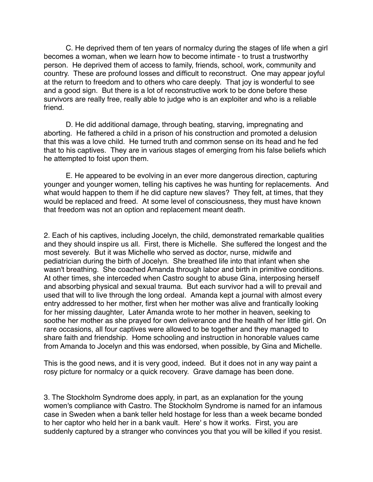C. He deprived them of ten years of normalcy during the stages of life when a girl becomes a woman, when we learn how to become intimate - to trust a trustworthy person. He deprived them of access to family, friends, school, work, community and country. These are profound losses and difficult to reconstruct. One may appear joyful at the return to freedom and to others who care deeply. That joy is wonderful to see and a good sign. But there is a lot of reconstructive work to be done before these survivors are really free, really able to judge who is an exploiter and who is a reliable friend.

D. He did additional damage, through beating, starving, impregnating and aborting. He fathered a child in a prison of his construction and promoted a delusion that this was a love child. He turned truth and common sense on its head and he fed that to his captives. They are in various stages of emerging from his false beliefs which he attempted to foist upon them.

E. He appeared to be evolving in an ever more dangerous direction, capturing younger and younger women, telling his captives he was hunting for replacements. And what would happen to them if he did capture new slaves? They felt, at times, that they would be replaced and freed. At some level of consciousness, they must have known that freedom was not an option and replacement meant death.

2. Each of his captives, including Jocelyn, the child, demonstrated remarkable qualities and they should inspire us all. First, there is Michelle. She suffered the longest and the most severely. But it was Michelle who served as doctor, nurse, midwife and pediatrician during the birth of Jocelyn. She breathed life into that infant when she wasn't breathing. She coached Amanda through labor and birth in primitive conditions. At other times, she interceded when Castro sought to abuse Gina, interposing herself and absorbing physical and sexual trauma. But each survivor had a will to prevail and used that will to live through the long ordeal. Amanda kept a journal with almost every entry addressed to her mother, first when her mother was alive and frantically looking for her missing daughter, Later Amanda wrote to her mother in heaven, seeking to soothe her mother as she prayed for own deliverance and the health of her little girl. On rare occasions, all four captives were allowed to be together and they managed to share faith and friendship. Home schooling and instruction in honorable values came from Amanda to Jocelyn and this was endorsed, when possible, by Gina and Michelle.

This is the good news, and it is very good, indeed. But it does not in any way paint a rosy picture for normalcy or a quick recovery. Grave damage has been done.

3. The Stockholm Syndrome does apply, in part, as an explanation for the young women's compliance with Castro. The Stockholm Syndrome is named for an infamous case in Sweden when a bank teller held hostage for less than a week became bonded to her captor who held her in a bank vault. Here' s how it works. First, you are suddenly captured by a stranger who convinces you that you will be killed if you resist.